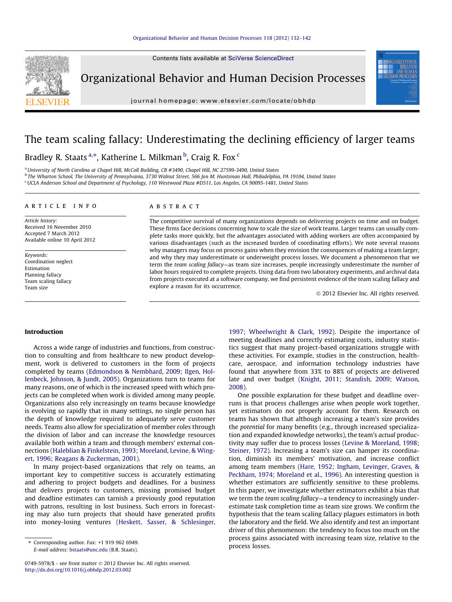Contents lists available at [SciVerse ScienceDirect](http://www.sciencedirect.com/science/journal/07495978)



Organizational Behavior and Human Decision Processes

journal homepage: [www.elsevier.com/locate/obhdp](http://www.elsevier.com/locate/obhdp)

## The team scaling fallacy: Underestimating the declining efficiency of larger teams

### Bradley R. Staats <sup>a,</sup>\*, Katherine L. Milkman <sup>b</sup>, Craig R. Fox <sup>c</sup>

<sup>a</sup> University of North Carolina at Chapel Hill, McColl Building, CB #3490, Chapel Hill, NC 27599-3490, United States <sup>b</sup> The Wharton School, The University of Pennsylvania, 3730 Walnut Street, 566 Jon M. Huntsman Hall, Philadelphia, PA 19104, United States <sup>c</sup> UCLA Anderson School and Department of Psychology, 110 Westwood Plaza #D511, Los Angeles, CA 90095-1481, United States

#### article info

Article history: Received 16 November 2010 Accepted 7 March 2012 Available online 10 April 2012

Keywords: Coordination neglect Estimation Planning fallacy Team scaling fallacy Team size

#### **ABSTRACT**

The competitive survival of many organizations depends on delivering projects on time and on budget. These firms face decisions concerning how to scale the size of work teams. Larger teams can usually complete tasks more quickly, but the advantages associated with adding workers are often accompanied by various disadvantages (such as the increased burden of coordinating efforts). We note several reasons why managers may focus on process gains when they envision the consequences of making a team larger, and why they may underestimate or underweight process losses. We document a phenomenon that we term the team scaling fallacy—as team size increases, people increasingly underestimate the number of labor hours required to complete projects. Using data from two laboratory experiments, and archival data from projects executed at a software company, we find persistent evidence of the team scaling fallacy and explore a reason for its occurrence.

- 2012 Elsevier Inc. All rights reserved.

#### Introduction

Across a wide range of industries and functions, from construction to consulting and from healthcare to new product development, work is delivered to customers in the form of projects completed by teams [\(Edmondson & Nembhard, 2009; Ilgen, Hol](#page--1-0)[lenbeck, Johnson, & Jundt, 2005](#page--1-0)). Organizations turn to teams for many reasons, one of which is the increased speed with which projects can be completed when work is divided among many people. Organizations also rely increasingly on teams because knowledge is evolving so rapidly that in many settings, no single person has the depth of knowledge required to adequately serve customer needs. Teams also allow for specialization of member roles through the division of labor and can increase the knowledge resources available both within a team and through members' external connections ([Haleblian & Finkelstein, 1993; Moreland, Levine, & Wing](#page--1-0)[ert, 1996; Reagans & Zuckerman, 2001\)](#page--1-0).

In many project-based organizations that rely on teams, an important key to competitive success is accurately estimating and adhering to project budgets and deadlines. For a business that delivers projects to customers, missing promised budget and deadline estimates can tarnish a previously good reputation with patrons, resulting in lost business. Such errors in forecasting may also turn projects that should have generated profits into money-losing ventures [\(Heskett, Sasser, & Schlesinger,](#page--1-0)

E-mail address: [bstaats@unc.edu](mailto:bstaats@unc.edu) (B.R. Staats).

[1997; Wheelwright & Clark, 1992\)](#page--1-0). Despite the importance of meeting deadlines and correctly estimating costs, industry statistics suggest that many project-based organizations struggle with these activities. For example, studies in the construction, healthcare, aerospace, and information technology industries have found that anywhere from 33% to 88% of projects are delivered late and over budget [\(Knight, 2011; Standish, 2009; Watson,](#page--1-0) [2008\)](#page--1-0).

One possible explanation for these budget and deadline overruns is that process challenges arise when people work together, yet estimators do not properly account for them. Research on teams has shown that although increasing a team's size provides the potential for many benefits (e.g., through increased specialization and expanded knowledge networks), the team's actual productivity may suffer due to process losses [\(Levine & Moreland, 1998;](#page--1-0) [Steiner, 1972](#page--1-0)). Increasing a team's size can hamper its coordination, diminish its members' motivation, and increase conflict among team members ([Hare, 1952; Ingham, Levinger, Graves, &](#page--1-0) [Peckham, 1974; Moreland et al., 1996\)](#page--1-0). An interesting question is whether estimators are sufficiently sensitive to these problems. In this paper, we investigate whether estimators exhibit a bias that we term the team scaling fallacy-a tendency to increasingly underestimate task completion time as team size grows. We confirm the hypothesis that the team scaling fallacy plagues estimators in both the laboratory and the field. We also identify and test an important driver of this phenomenon: the tendency to focus too much on the process gains associated with increasing team size, relative to the process losses.

<sup>⇑</sup> Corresponding author. Fax: +1 919 962 6949.

<sup>0749-5978/\$ -</sup> see front matter © 2012 Elsevier Inc. All rights reserved. <http://dx.doi.org/10.1016/j.obhdp.2012.03.002>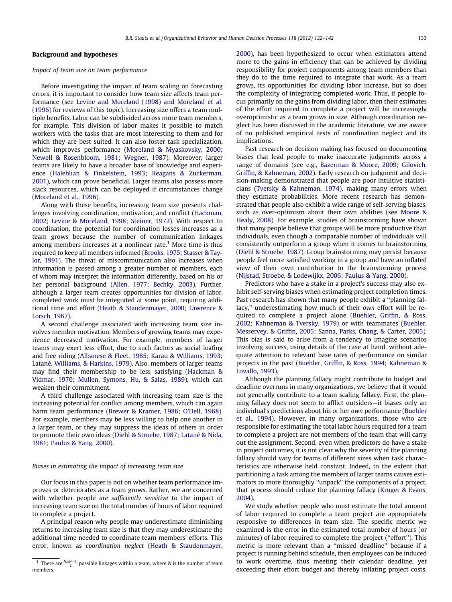### Background and hypotheses

#### Impact of team size on team performance

Before investigating the impact of team scaling on forecasting errors, it is important to consider how team size affects team performance (see [Levine and Moreland \(1998\) and Moreland et al.](#page--1-0) [\(1996\)](#page--1-0) for reviews of this topic). Increasing size offers a team multiple benefits. Labor can be subdivided across more team members, for example. This division of labor makes it possible to match workers with the tasks that are most interesting to them and for which they are best suited. It can also foster task specialization, which improves performance ([Moreland & Myaskovsky, 2000;](#page--1-0) [Newell & Rosenbloom, 1981; Wegner, 1987\)](#page--1-0). Moreover, larger teams are likely to have a broader base of knowledge and experience [\(Haleblian & Finkelstein, 1993; Reagans & Zuckerman,](#page--1-0) [2001](#page--1-0)), which can prove beneficial. Larger teams also possess more slack resources, which can be deployed if circumstances change ([Moreland et al., 1996\)](#page--1-0).

Along with these benefits, increasing team size presents challenges involving coordination, motivation, and conflict [\(Hackman,](#page--1-0) [2002; Levine & Moreland, 1998; Steiner, 1972\)](#page--1-0). With respect to coordination, the potential for coordination losses increases as a team grows because the number of communication linkages among members increases at a nonlinear rate.<sup>1</sup> More time is thus required to keep all members informed [\(Brooks, 1975; Stasser & Tay](#page--1-0)[lor, 1991](#page--1-0)). The threat of miscommunication also increases when information is passed among a greater number of members, each of whom may interpret the information differently, based on his or her personal background ([Allen, 1977; Bechky, 2003](#page--1-0)). Further, although a larger team creates opportunities for division of labor, completed work must be integrated at some point, requiring additional time and effort ([Heath & Staudenmayer, 2000; Lawrence &](#page--1-0) [Lorsch, 1967](#page--1-0)).

A second challenge associated with increasing team size involves member motivation. Members of growing teams may experience decreased motivation. For example, members of larger teams may exert less effort, due to such factors as social loafing and free riding ([Albanese & Fleet, 1985; Karau & Williams, 1993;](#page--1-0) [Latané, Williams, & Harkins, 1979\)](#page--1-0). Also, members of larger teams may find their membership to be less satisfying ([Hackman &](#page--1-0) [Vidmar, 1970; Mullen, Symons, Hu, & Salas, 1989\)](#page--1-0), which can weaken their commitment.

A third challenge associated with increasing team size is the increasing potential for conflict among members, which can again harm team performance [\(Brewer & Kramer, 1986; O'Dell, 1968\)](#page--1-0). For example, members may be less willing to help one another in a larger team, or they may suppress the ideas of others in order to promote their own ideas [\(Diehl & Stroebe, 1987; Latané & Nida,](#page--1-0) [1981; Paulus & Yang, 2000\)](#page--1-0).

#### Biases in estimating the impact of increasing team size

Our focus in this paper is not on whether team performance improves or deteriorates as a team grows. Rather, we are concerned with whether people are sufficiently sensitive to the impact of increasing team size on the total number of hours of labor required to complete a project.

A principal reason why people may underestimate diminishing returns to increasing team size is that they may underestimate the additional time needed to coordinate team members' efforts. This error, known as coordination neglect [\(Heath & Staudenmayer,](#page--1-0) [2000](#page--1-0)), has been hypothesized to occur when estimators attend more to the gains in efficiency that can be achieved by dividing responsibility for project components among team members than they do to the time required to integrate that work. As a team grows, its opportunities for dividing labor increase, but so does the complexity of integrating completed work. Thus, if people focus primarily on the gains from dividing labor, then their estimates of the effort required to complete a project will be increasingly overoptimistic as a team grows in size. Although coordination neglect has been discussed in the academic literature, we are aware of no published empirical tests of coordination neglect and its implications.

Past research on decision making has focused on documenting biases that lead people to make inaccurate judgments across a range of domains (see e.g., [Bazerman & Moore, 2009; Gilovich,](#page--1-0) [Griffin, & Kahneman, 2002](#page--1-0)). Early research on judgment and decision-making demonstrated that people are poor intuitive statisticians [\(Tversky & Kahneman, 1974](#page--1-0)), making many errors when they estimate probabilities. More recent research has demonstrated that people also exhibit a wide range of self-serving biases, such as over-optimism about their own abilities (see [Moore &](#page--1-0) [Healy, 2008](#page--1-0)). For example, studies of brainstorming have shown that many people believe that groups will be more productive than individuals, even though a comparable number of individuals will consistently outperform a group when it comes to brainstorming ([Diehl & Stroebe, 1987\)](#page--1-0). Group brainstorming may persist because people feel more satisfied working in a group and have an inflated view of their own contribution to the brainstorming process ([Nijstad, Stroebe, & Lodewijkx, 2006; Paulus & Yang, 2000\)](#page--1-0).

Predictors who have a stake in a project's success may also exhibit self-serving biases when estimating project completion times. Past research has shown that many people exhibit a ''planning fallacy,'' underestimating how much of their own effort will be required to complete a project alone ([Buehler, Griffin, & Ross,](#page--1-0) [2002; Kahneman & Tversky, 1979\)](#page--1-0) or with teammates ([Buehler,](#page--1-0) [Messervey, & Griffin, 2005; Sanna, Parks, Chang, & Carter, 2005\)](#page--1-0). This bias is said to arise from a tendency to imagine scenarios involving success, using details of the case at hand, without adequate attention to relevant base rates of performance on similar projects in the past [\(Buehler, Griffin, & Ross, 1994; Kahneman &](#page--1-0) [Lovallo, 1993\)](#page--1-0).

Although the planning fallacy might contribute to budget and deadline overruns in many organizations, we believe that it would not generally contribute to a team scaling fallacy. First, the planning fallacy does not seem to afflict outsiders—it biases only an individual's predictions about his or her own performance [\(Buehler](#page--1-0) [et al., 1994\)](#page--1-0). However, in many organizations, those who are responsible for estimating the total labor hours required for a team to complete a project are not members of the team that will carry out the assignment. Second, even when predictors do have a stake in project outcomes, it is not clear why the severity of the planning fallacy should vary for teams of different sizes when task characteristics are otherwise held constant. Indeed, to the extent that partitioning a task among the members of larger teams causes estimators to more thoroughly ''unpack'' the components of a project, that process should reduce the planning fallacy [\(Kruger & Evans,](#page--1-0) [2004](#page--1-0)).

We study whether people who must estimate the total amount of labor required to complete a team project are appropriately responsive to differences in team size. The specific metric we examined is the error in the estimated total number of hours (or minutes) of labor required to complete the project (''effort''). This metric is more relevant than a ''missed deadline'' because if a project is running behind schedule, then employees can be induced to work overtime, thus meeting their calendar deadline, yet exceeding their effort budget and thereby inflating project costs.

<sup>&</sup>lt;sup>1</sup> There are  $\frac{Nx(N-1)}{2}$  possible linkages within a team, where N is the number of team members.